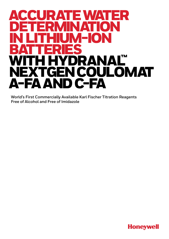# ACCURATE WATER DETERMINATION IN LITHIUM-ION BATTERIES WITH HYDRANAL™ NEXTGEN COULOMAT A-FA AND C-FA

**World's First Commercially Available Karl Fischer Titration Reagents Free of Alcohol and Free of Imidazole**

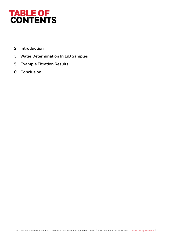

- **2 Introduction**
- **3 Water Determination In LiB Samples**
- **5 Example Titration Results**
- **10 Conclusion**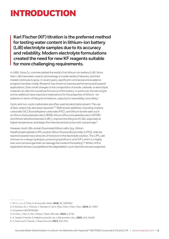### INTRODUCTION

**Karl Fischer (KF) titration is the preferred method for testing water content in lithium-ion battery (LiB) electrolyte samples due to its accuracy and reliability. Modern electrolyte formulations created the need for new KF reagents suitable for more challenging requirements.**

In 1991, Sony Co. commercialized the world's first lithium-ion battery (LiB). Since then, LiBs have been used to store energy in a wide variety of devices, and their market continues to grow. In recent years, significant commercial and academic progress has been made. Research has shown to improve performance and expand applications. Even small changes in the composition of anode, cathode, or electrolyte material can alter the overall performance of the battery. In particular, the electrolyte and its additives have important implications for the properties of lithium- ion batteries in terms of lifecycle limitations, capacity for reversibility, and safety.<sup>1</sup>

Cyclic and non-cyclic carbonates are often used as electrolyte solvent. The use of keto-esters has also been reported.2,3 Well-known additives, including vinylene carbonate (VC), fluoroethylene carbonate (FEC), and lithium borate salts such as lithium bis(oxalato)borate (LiBOB), lithium difluoro(oxalato)borate (LiDFOB) and lithium tetrafluoroborate ( $L$ iBF<sub>4</sub>), improve the lifecycle of LiBs, especially at higher temperature, and keeps the internal resistance low with use and age.<sup>4</sup>

However, most LiBs contain fluorinated lithium salts, [e.g., lithium hexafluorophosphate (LiPF $_6$ ) and/or lithium fluorosulfonyl imide, (LiFSI)], that are reactive towards trace amounts of moisture in the electrolyte solution. The LiPF $_6$  salt is known to undergo hydrolysis, producing hydrofluoric acid (HF), which is a highly toxic and corrosive gas that can damage the inside of the battery<sup>5,6</sup>. While LiFSI is expected to be less susceptible to this degradation, such reactions are also expected.

<sup>1.</sup> M. Li, J. Lu, Z. Chen, K. Amine, *Adv. Mater. 2018,* 30, 1800561

<sup>2.</sup> S. Kondou, M. L. Thomas, T. Mandai, K. Ueno, *Phys. Chem. Chem. Phys., 2019,* 21, 5097.

<sup>3.</sup> US patent US8795905B2

<sup>4.</sup> N. Choi, J. Han, S. Ha, I. Parka, C. Back, *RSC Adv., 2015,* 5, 2732.

<sup>5.</sup> K. Tasaki, K. Kanda, S. Nakamura and M. Ue, *J. Electrochem. Soc., 2003,* 150, A1628.

<sup>6.</sup> U. Karst and S. Nowak, *J. Power Sources, 2013,* 242, 832.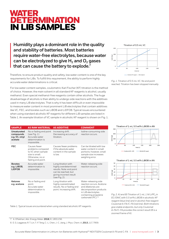### WATER **DETERMINATION** IN LIB SAMPLES

**Humidity plays a dominant role in the quality and stability of batteries. Most batteries require water-free electrolytes, because water**  can be electrolyzed to give H<sub>2</sub> and O<sub>2</sub> gases **that can cause the battery to explode.7**

Therefore, to ensure product quality and safety, low water content is one of the key requirements for LiBs. To fulfill this requirement, the ability to perform highly accurate water determinations is critical.

For low water content samples, coulometric Karl Fischer (KF) titration is the method of choice. However, the main solvent in all standard KF reagents is alcohol, usually methanol. Even special methanol-free reagents contain other alcohols. The huge disadvantage of alcohols is their ability to undergo side reactions with the additives used in many LiB electrolytes. That is why it has been difficult or even impossible to measure water content in most prominent LiB electrolytes that contain additives like VC, FEC, and borates such as LiBOB and LiDFOB. Typical issues encountered when using standard alcoholic KF reagents for different LiB samples are listed in Table 1. An example titration of VC sample in alcoholic KF reagent is shown on Fig. 1.

| <b>SAMPLE</b>                                         | <b>AS RAW MATERIAL</b>                                                                                            | <b>AS ADDITIVE</b>                                                                                                                          | <b>COMMENT</b>                                                                                                                                                                 |
|-------------------------------------------------------|-------------------------------------------------------------------------------------------------------------------|---------------------------------------------------------------------------------------------------------------------------------------------|--------------------------------------------------------------------------------------------------------------------------------------------------------------------------------|
| Unsaturated<br>compounds<br>e.g. VC, vinyl<br>acetate | No or fading end point<br>(see Fig. 1).<br>Accurate water<br>determination is<br>impossible.                      | Increasing drift.<br>Decreasing accuracy of<br>titration.                                                                                   | lodine-consuming side<br>reaction occurs.                                                                                                                                      |
| <b>FEC</b>                                            | Causes fewer<br>problems compared<br>to VC when sample<br>size is small.<br>Otherwise, no or<br>fading end point. | Causes fewer problems<br>if the absolute water<br>content in the sample<br>is low.                                                          | Can be titrated with low<br>water content in small<br>portions; however, small<br>sample size increases<br>weighing error.                                                     |
| <b>Borates</b><br>e.g. LiBOB,<br><b>LiDFOB</b>        | Accurate water<br>determination is<br>impossible.                                                                 | Long titration with<br>highly overdetermined<br>results. Note: end point<br>can be reached, but<br>giving incorrect result<br>(see Fig. 2). | Water-releasing side<br>reaction occurs.                                                                                                                                       |
| <b>Ketones</b><br>e.g. acetone                        | No or fading end<br>point.<br>Accurate water<br>determination is<br>impossible.                                   | Long titration with<br>highly overestimated<br>results. No or fading end<br>point. Increasing drift.                                        | Water-releasing side<br>reaction occurs. Acetone<br>and diketones are<br>decomposition products<br>in LiB electrolytes<br>containing propylene<br>carbonate (PC). <sup>8</sup> |







Titration of 1 mL 5.5 wt% LiBOB in AN  $50$  $40$  $30$ **B** [pu]  $^{20}$ vater  $10$  $\Omega$ time [s] -<br>Coulomat A-FA + C-FA -<br>- Alcoholic KF reagen

 $Fig. 2. A)$  and B) Titration of 1 mL 1 M LiPF<sub>6</sub> in *EC/DMC with 5.5 wt% LiBOB in alcoholic KF reagent (blue line) and in alcohol-free reagent Coulomat A-FA/C-FA (red line). Both titrations give stable endpoints, but only Coulomat A-FA/C-FA provides the correct result (B is a zoomed frame of A).* 

*Table 1. Typical issues encountered when using standard alcoholic KF reagents.*

7. A. Eftekhari, *Adv. Energy Mater. 2018,* 8, 1801156.

8. E. G. Leggesse, R. T. Lin, T.-F. Teng, C.-L. Chen, J.-C. Jiang, *J. Phys. Chem. A, 2013,* 117, 7959.

reaction occurs. Acetone decomposition products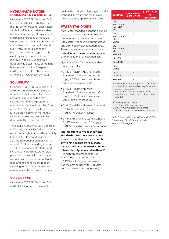#### **HYDRANAL™ NEXTGEN COULOMAT A-FA AND C-FA**

Hydranal NEXTGEN Coulomat A-FA (anolyte) and C-FA (catholyte) are the first commercially available nonalcoholic KF reagents that are also free of imidazole, and allow accurate and reliable titrations of many LiB electrolytes and additives. Feasibility comparison of Coulomat A-FA and C-FA with standard alcoholic KF reagents for different types of LiB electrolytes and pure additives is shown in Table 2. An example titration of LiB electrolyte containing borates in alcoholic KF reagent and Hydranal NEXTGEN Coulomat A-FA and C-FA is shown on Fig. 2.

#### **SOLUBILITY**

Hydranal NEXTGEN Coulomat A-FA and C-FA are free of methanol and other alcohols. Instead of alcohols, acetonitrile is used as the main solvent. The solubility properties of methanol and acetonitrile differ from each other. Many polar salts such as  $LIPF<sub>6</sub>$  dissolve better in methanol, whereas more non-polar samples dissolve better in acetonitrile.

The solubility of 5 wt% LiBOB solution in PC in Hydranal NEXTGEN Coulomat A-FA is very high, whereas the solubility limit of 1 M LiPF $_6$  solution in PC in 100 mL Hydranal Coulomat A-FA is around 18 mL. After adding approx. 18 mL, the reagent gets cloudy and salt starts to precipitate. Often, it is possible to do some further titrations without any problems, but we highly recommend changing the reagent when it gets cloudy. Otherwise, the generator electrode may be damaged.

#### **VESSEL TYPE**

Hydranal NEXTGEN Coulomat A-FA and C-FA will provide best results in a coulometric cell with diaphragm. In cells without diaphragm, the results may be increased by approximately 10%.

#### **WATER STANDARDS**

Many water standards contain alcohols such as 1-butanol or 1-methoxy-2 propanol which can react with many LiB electrolytes causing drift increase and erroneous water content results. Therefore, it is very important to use **only alcohol-free water standards** for the verification of the titration cell.

Hydranal offers four water standards that are free of alcohols:

- 34426 HYDRANAL-CRM Water Standard 1.0 (water content 1.0 mg/g = 0.1%), based on anisole and propylene carbonate
- 34828 HYDRANAL-Water Standard 1.0 (water content 1.0  $mg/g = 0.1\%$ ), based on anisole and propylene carbonate
- 34847 HYDRANAL-Water Standard  $0.1$  (water content  $0.1$  mg/g = 0.01%), based on o-xylene
- 34446 HYDRANAL-Water Standard 0.1 PC (water content 0.1 mg/g = 0.01%), based on propylene carbonate

**It is important to notice that water standards based on anisole cannot be used in combination with boratecontaining samples (e.g. LiBOB), because anisole is able to decompose into alcohols (phenol and methanol).**  It is highly recommended to use 34446 Hydranal-Water Standard 0.1 PC for all samples, because it has the best solubility for LiB salts and is stable (no decomposition).

| <b>SAMPLE</b>                                | <b>COULOMAT</b><br>$A-FA + C-FA$ | <b>ALCOHOLIC</b><br><b>KF</b><br><b>REAGENTS</b> |
|----------------------------------------------|----------------------------------|--------------------------------------------------|
| LiB<br>electrolyte<br>with VC/<br><b>FEC</b> | $^{+}$                           | $\circ$                                          |
| LiB<br>electrolyte<br>with<br><b>LiBOB</b>   | $\ddot{}$                        |                                                  |
| LiB<br>electrolyte<br>with<br><b>LiDFOB</b>  | $+$                              |                                                  |
| Pure VC                                      | $+$                              |                                                  |
| Pure FEC                                     | $\ddot{}$                        | $\Omega$                                         |
| Pure<br><b>LiBOB</b>                         | $\ddot{}$                        |                                                  |
| Pure<br><b>LiDFOB</b>                        | $^{+}$                           |                                                  |
| Ketones                                      | $\ddot{}$                        |                                                  |

**+** accurate titration, suppressed side effects **o** limited titration (possible only for small

 amount of sample) **-** no accurate titration possible (side reactions, increasing drift or inaccurate

VC = vinylene carbonate

results)

FEC = fluoroethylene carbonate

LiBOB = lithium bis(oxalate)borate

LiDFOB = lithium difluoro(oxalato)borate

*Table 2. Comparison of Hydranal NEXTGEN Coulomat A-FA + C-FA with standard alcoholic KF reagents.*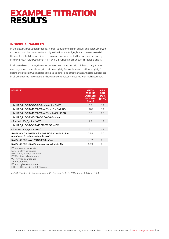### EXAMPLE TITRATION RESULTS

#### **INDIVIDUAL SAMPLES**

In the battery production process, in order to guarantee high quality and safety, the water content should be measured not only in the final electrolyte, but also in raw materials. Different electrolytes and different raw materials were tested for water content using Hydranal NEXTGEN Coulomat A-FA and C-FA. Results are shown in Tables 3 and 4.

In all tested electrolytes, the water content was measured with high accuracy. Among electrolyte raw materials, only in tris(trimethylsilyl) phosphite and tris(trimethylsilyl) borate the titration was not possible due to other side effects that cannot be suppressed. In all other tested raw materials, the water content was measured with high accuracy.

| <b>SAMPLE</b>                                                                                                                                                                                                                    | <b>MEAN</b><br><b>WATER</b><br><b>CONTENT</b><br>$(N = 5-6)$<br>[ppm] | ABS.<br>STD.<br>DEV.<br>[ppm] |
|----------------------------------------------------------------------------------------------------------------------------------------------------------------------------------------------------------------------------------|-----------------------------------------------------------------------|-------------------------------|
| 1 M LiPF <sub>6</sub> in EC/DEC (50/50 vol%) + 4 wt% VC                                                                                                                                                                          | 6.9                                                                   | 1.1                           |
| 1 M LiPF <sub>6</sub> in EC/DMC (50/50 vol%) + 10 wt% LiBF <sub>4</sub>                                                                                                                                                          | 146.7                                                                 | 1.1                           |
| 1 M LiPF <sub>6</sub> in EC/DMC (50/50 vol%) + 5 wt% LiBOB                                                                                                                                                                       | 3.3                                                                   | 0.5                           |
| 1 M LiPF <sub>6</sub> in EC/EMC/DMC (20/40/40 vol%)                                                                                                                                                                              |                                                                       |                               |
| + 2 wt% LiPO <sub>2</sub> F <sub>2</sub> + 4 wt% VC                                                                                                                                                                              | 4.9                                                                   | 1.9                           |
| 1 M LiPF <sub>6</sub> in EC/DEC/DMC (20/30/40 vol%)                                                                                                                                                                              |                                                                       |                               |
| + 2 wt% LiPO <sub>2</sub> F <sub>2</sub> + 4 wt% VC                                                                                                                                                                              | 3.5                                                                   | 0.9                           |
| 5 wt% VC + 5 wt% FEC + 2 wt% LiBOB + 2 wt% lithium<br>nonafluoro-1-butanesulfonate in AN                                                                                                                                         | 33.8                                                                  | 0.5                           |
| 5 wt% LiDFOB in AN/PC (50/50 vol%)                                                                                                                                                                                               | 71.2                                                                  | 0.5                           |
| 5 wt% LiDFOB + 5 wt% succinic anhydride in AN                                                                                                                                                                                    | 88.9                                                                  | 0.5                           |
| EC = ethylene carbonate<br>DEC = diethyl carbonate<br>EMC = ethyl methyl carbonate<br>DMC = dimethyl carbonate<br>VC = vinylene carbonate<br>AN = acetonitrile<br>PC = propylene carbonate<br>LiBOB = lithium bis(oxalate)borate |                                                                       |                               |

*Table 3. Titration of LiB electrolytes with Hydranal NEXTGEN Coulomat A-FA and C-FA.*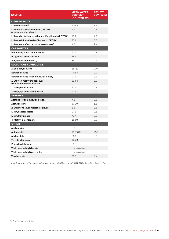| <b>SAMPLE</b>                                                              | <b>MEAN WATER</b><br><b>CONTENT</b><br>$(N = 4-6)$ [ppm] | <b>ABS. STD.</b><br>DEV. [ppm] |
|----------------------------------------------------------------------------|----------------------------------------------------------|--------------------------------|
| LITHIUM SALTS                                                              |                                                          |                                |
| Lithium acetate <sup>9</sup>                                               | 102.3                                                    | 1.9                            |
| Lithium bis(oxalato)borate (LiBOB) <sup>9</sup><br>(over molecular sieves) | 10.0                                                     | 0.2                            |
| Lithium bis(trifluoromethanesulfonyl)imide (LiTFSI) <sup>9</sup>           | 13.7                                                     | 4.2                            |
| Lithium difluoro(oxalato)borate (LiDFOB) <sup>9</sup>                      | 77.4                                                     | 0.7                            |
| Lithium nonafluoro-1-butanesulfonate <sup>9</sup>                          | 4.3                                                      | 2.4                            |
| <b>CARBONATES</b>                                                          |                                                          |                                |
| Fluoroethylene carbonate (FEC)                                             | 33.1                                                     | 0.2                            |
| Propylene carbonate (PC)                                                   | 98.8                                                     | 0.5                            |
| Vinylene carbonate (VC)                                                    | 88.2                                                     | 0.1                            |
| <b>SULFUROUS COMPOUNDS</b>                                                 |                                                          |                                |
| Allyl methyl sulfone                                                       | 1571.4                                                   | 20.4                           |
| Ethylene sulfite                                                           | 466.5                                                    | 0.9                            |
| Ethylene sulfite (over molecular sieves)                                   | 27.3                                                     | 0.1                            |
| 1-Ethyl-3-methylimidazolium<br>trifluoromethanesulfonate                   | 694.4                                                    | 2.9                            |
| 1,3-Propanesultone <sup>9</sup>                                            | 31.7                                                     | 0.2                            |
| 2-Propynyl methanesulfonate                                                | 575.2                                                    | 5.7                            |
| <b>KETONES</b>                                                             |                                                          |                                |
| Acetone (over molecular sieves)                                            | 7.2                                                      | 0.5                            |
| Acetylacetone                                                              | 561.9                                                    | 1.1                            |
| 2-Butanone (over molecular sieves)                                         | 6.3                                                      | 0.5                            |
| Methyl acetoacetate                                                        | 27.6                                                     | 0.6                            |
| Methyl levulinate                                                          | 71.4                                                     | 0.5                            |
| 4-Methy-2-pentanone                                                        | 188.9                                                    | 0.2                            |
| <b>OTHER</b>                                                               |                                                          |                                |
| Acetonitrile                                                               | 8.2                                                      | 0.2                            |
| Adiponitrile                                                               | 13638.8                                                  | 73.9                           |
| Allyl acetate                                                              | 368.1                                                    | 3.7                            |
| Tert-Amylbenzene                                                           | 124.3                                                    | 0.2                            |
| Phenylcyclohexane                                                          | 95.8                                                     | 0.2                            |
| Tris(trimethylsilyl) borate                                                | Not possible                                             |                                |
| Tris(trimethylsilyl) phosphite                                             | Not possible                                             |                                |
| Vinyl acetate                                                              | 56.8                                                     | 0.4                            |

*Table 4. Titration of LiB electrolyte raw materials with Hydranal NEXTGEN Coulomat A-FA and C-FA.*

<sup>9. 5</sup> wt% in acetonitrile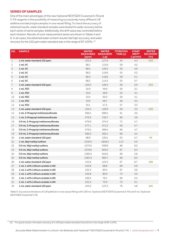#### **SERIES OF SAMPLES**

One of the main advantages of the new Hydranal NEXTGEN Coulomat A-FA and C-FA reagents is the possibility of measuring successively many different LiB additive and electrolyte samples in one vessel filling. To check the accuracy of obtained results, water standard samples were tested for water recovery before each series of same samples. Additionally, the drift value was controlled before each titration. Results of such measurement series are shown in Tables 5 and 6. In all cases, the obtained water content results had high accuracy, and water recovery for the 102 ppm water standard was in the range of 97-103%. 10

| NO.            | <b>SAMPLE</b>                      | <b>WATER</b><br><b>MEASURED</b><br>[ppm] | <b>WATER</b><br><b>MEASURED</b><br>$\left[\mu$ g] | <b>TITRATION</b><br>TIME [s] | <b>START</b><br><b>DRIFT</b><br>$[\mu$ g/min] | <b>WATER</b><br><b>RECOVERY</b><br>[%] |
|----------------|------------------------------------|------------------------------------------|---------------------------------------------------|------------------------------|-----------------------------------------------|----------------------------------------|
| $\perp$        | 1 mL water standard 102 ppm        | 105.3                                    | 127.8                                             | 55                           | 4.3                                           | 103                                    |
| $\overline{2}$ | 1 mLVC                             | 88.1                                     | 115.9                                             | 59                           | 4.2                                           |                                        |
| 3              | 1 mLVC                             | 88.4                                     | 120.3                                             | 55                           | 4.9                                           |                                        |
| 4              | 1 mLVC                             | 88.2                                     | 119.9                                             | 55                           | 5.2                                           |                                        |
| 5              | 1 mLVC                             | 88.3                                     | 118.6                                             | 59                           | 5.1                                           |                                        |
| 6              | 1 mLVC                             | 88.2                                     | 114.2                                             | 55                           | 5.7                                           |                                        |
| $\overline{7}$ | 1 mL water standard 102 ppm        | 105.0                                    | 126.4                                             | 58                           | 5.9                                           | 103                                    |
| 8              | 1 mL FEC                           | 32.9                                     | 46.6                                              | 56                           | 3.1                                           |                                        |
| 9              | 1 mL FEC                           | 33.2                                     | 49.6                                              | 53<br>3.1                    |                                               |                                        |
| 10             | 1 mL FEC                           | 3.1<br>33.4<br>50.3<br>56                |                                                   |                              |                                               |                                        |
| 11             | 1 mL FEC                           | 33.0                                     | 48.7                                              | 56                           | 3.3                                           |                                        |
| 12             | 1 mL FEC                           | 33.1<br>47.3<br>57<br>3.3                |                                                   |                              |                                               |                                        |
| 13             | 1 mL water standard 102 ppm        | 104.4                                    | 126.9                                             | 59                           | 3.2                                           | 102                                    |
| 14             | 1 mL 2-Propynyl methanesulfonate   | 566.4                                    | 698.4                                             | 81                           | 3.0                                           |                                        |
| 15             | 1 mL 2-Propynyl methanesulfonate   | 570.5                                    | 720.7                                             | 80                           | 3.8                                           |                                        |
| 16             | 0.5 mL 2-Propynyl methanesulfonate | 576.8                                    | 374.3                                             | 72                           | 4.7                                           |                                        |
| 17             | 0.5 mL 2-Propynyl methanesulfonate | 577.1                                    | 371.2                                             | 69                           | 4.7                                           |                                        |
| 18             | 0.5 mL 2-Propynyl methanesulfonate | 578.3                                    | 366.4                                             | 66                           | 4.7                                           |                                        |
| 19             | 0.5 mL 2-Propynyl methanesulfonate | 582.0                                    | 350.1                                             | 66                           | 4.4                                           |                                        |
| 20             | 1 mL water standard 102 ppm        | 98.9                                     | 120.4                                             | 63                           | 4.7                                           | 97                                     |
| 21             | 1 mL Allyl methyl sulfone          | 1535.5                                   | 1848.2                                            | 113                          | 4.5                                           |                                        |
| 22             | 0.5 mL Allyl methyl sulfone        | 1575.0                                   | 939.9                                             | 86<br>6.2                    |                                               |                                        |
| 23             | 0.5 mL Allyl methyl sulfone        | 1579.6                                   | 925.0                                             | 87                           | 6.3                                           |                                        |
| 24             | 0.5 mL Allyl methyl sulfone        | 1585.3                                   | 916.0                                             | 86                           | 5.8                                           |                                        |
| 25             | 0.5 mL Allyl methyl sulfone        | 1581.6                                   | 960.7                                             | 89                           | 6.5                                           |                                        |
| 26             | 1 mL water standard 102 ppm        | 101.8                                    | 123.3                                             | 67                           | 6.7                                           | 100                                    |
| 27             | 1 mL 1 wt% Lithium acetate in AN   | 103.6                                    | 68.8                                              | 66                           | 5.8                                           |                                        |
| 28             | 1 mL 1 wt% Lithium acetate in AN   | 101.3                                    | 80.4                                              | 67                           | 5.6                                           |                                        |
| 29             | 1 mL 1 wt% Lithium acetate in AN   | 104.8                                    | 80.9                                              | 72                           | 4.0                                           |                                        |
| 30             | 1 mL 1 wt% Lithium acetate in AN   | 100.4                                    | 78.1                                              | 68                           | 5.4                                           |                                        |
| 31             | 1 mL 1 wt% Lithium acetate in AN   | 101.2                                    | 75.9                                              | 72                           | 5.1                                           |                                        |
| 32             | 1 mL water standard 102 ppm        | 103.3                                    | 127.3                                             | 78                           | 4.8                                           | 101                                    |

*Table 5. Successive titrations of LiB additives in one vessel filling with 100 mL Hydranal NEXTGEN Coulomat A-FA and 5 mL Hydranal NEXTGEN Coulomat C FA.*

10. For good results, the water recovery of a 100 ppm water standard should be in the range of 90-110%.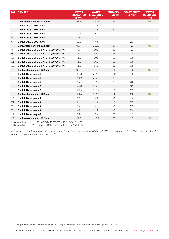| NO.            | <b>SAMPLE</b>                           | <b>WATER</b><br><b>MEASURED</b><br>[ppm] | <b>WATER</b><br><b>MEASURED</b><br>$[\mu$ g] | <b>TITRATION</b><br>TIME [s] | <b>START DRIFT</b><br>$[\mug/min]$ | <b>WATER</b><br><b>RECOVERY</b><br>[%] |
|----------------|-----------------------------------------|------------------------------------------|----------------------------------------------|------------------------------|------------------------------------|----------------------------------------|
| $\mathbf{1}$   | 1 mL water standard 102 ppm             | 98.6                                     | 120.6                                        | 58                           | 2.8                                | 97                                     |
| 2              | 1 mL 5 wt% LiBOB in AN                  | 10.1                                     | 6.8                                          | 42                           | 2.2                                |                                        |
| 3              | 1 mL 5 wt% LiBOB in AN                  | 10                                       | 7.9                                          | 53                           | 2.3                                |                                        |
| 4              | 1 mL 5 wt% LiBOB in AN                  | 10.2                                     | 8.1                                          | 42                           | 2.1                                |                                        |
| 5              | 1 mL 5 wt% LiBOB in AN                  | 9.6                                      | 7.7                                          | 47                           | 2.2                                |                                        |
| 6              | 1 mL 5 wt% LiBOB in AN                  | 10.2                                     | 7.3                                          | 47                           | 2.3                                |                                        |
| $\overline{7}$ | 1 mL water standard 102 ppm             | 99.4                                     | 120.9                                        | 66                           | $\overline{2}$                     | 97                                     |
| 8              | 1 mL 5 wt% LiDFOB in AN/PC (50/50 vol%) | 70.4                                     | 60.1                                         | 69                           | $\overline{2}$                     |                                        |
| 9              | 1 mL 5 wt% LiDFOB in AN/PC (50/50 vol%) | 71.4                                     | 58.7                                         | 64                           | 1.9                                |                                        |
| 10             | 1 mL 5 wt% LiDFOB in AN/PC (50/50 vol%) | 71.2                                     | 59.8                                         | 63                           | 1.8                                |                                        |
| 11             | 1 mL 5 wt% LiDFOB in AN/PC (50/50 vol%) | 71.2                                     | 56.2                                         | 62                           | 1.8                                |                                        |
| 12             | 1 mL 5 wt% LiDFOB in AN/PC (50/50 vol%) | 71.8                                     | 57.2                                         | 61                           | 1.5                                |                                        |
| 13             | 1 mL water standard 102 ppm             | 99.5                                     | 119.8                                        | 68                           | 1.6                                | 98                                     |
| 14             | 1 mL LiB electrolyte 1                  | 147.3                                    | 234.5                                        | 137                          | 1.5                                |                                        |
| 15             | 1 mL LiB electrolyte 1                  | 148.2                                    | 202.6                                        | 71                           | 4.1                                |                                        |
| 16             | 1 mL LiB electrolyte 1                  | 145.7                                    | 194.7                                        | 71                           | 3.8                                |                                        |
| 17             | 1 mL LiB electrolyte 1                  | 145.8                                    | 192.6                                        | 77                           | 3.3                                |                                        |
| 18             | 1 mL LiB electrolyte 1                  | 146.5                                    | 185.7                                        | 73                           | 2.9                                |                                        |
| 19             | 1 mL water standard 102 ppm             | 100.5                                    | 121.4                                        | 66                           | 2.6                                | 99                                     |
| 20             | 1 mL LiB electrolyte 2                  | 3.3                                      | 4.5                                          | 45                           | 1.6                                |                                        |
| 21             | 1 mL LiB electrolyte 2                  | 2.6                                      | 3.4                                          | 39                           | 2.5                                |                                        |
| 22             | 1 mL LiB electrolyte 2                  | 3.2                                      | 4.1                                          | 45                           | 2.2                                |                                        |
| 23             | 1 mL LiB electrolyte 2                  | 4.1                                      | 5.3                                          | 45                           | 2.4                                |                                        |
| 24             | 1 mL LiB electrolyte 2                  | 3.2                                      | 3.9                                          | 39                           | 2.3                                |                                        |
| 25             | 1 mL water standard 102 ppm             | 99.8                                     | 113.9                                        | 67                           | 2.5                                | 98                                     |
|                |                                         |                                          |                                              |                              |                                    |                                        |

LiB electrolyte 1 = 1 M LiPF $_6$  in EC/DMC (50/50 vol%) + 10 wt% LiBF $_4$ LiB electrolyte  $2 = 1$  M LiPF<sub>6</sub> in EC/DMC (50/50 vol%) + 5 wt% LiBOB

*Table 6. Successive titrations of LiB additives and LiB electrolytes in one vessel filling with 100 mL Hydranal NEXTGEN Coulomat A-FA and 5 mL Hydranal NEXTGEN Coulomat C FA.11*

11. For good results, the water recovery of a 100 ppm water standard should be in the range of 90-110%.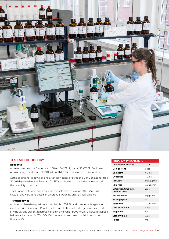

#### **TEST METHODOLOGY**

#### **Reagents**

All tests have been performed with 100 mL 34471 Hydranal NEXTGEN Coulomat A-FA as anolyte and 5 mL 34470 Hydranal NEXTGEN Coulomat C-FA as catholyte.

At the beginning, in between and after each series of titrations, 1 mL of alcohol-free 34446 Hydranal-Water Standard 0.1 PC was titrated to check the recovery and the reliability of results.

The titration tests were performed with sample sizes in a range of 0.5-2 mL. All calculations were done based on differential weighing on analytical balance.

#### **Titration device**

All titrations have been performed on Metrohm 852 Titrando titrator with a generator electrode with diaphragm. Prior to the test, all titration cell parts (generator electrode, stirring bar and glass stopper) were dried in the oven at 50°C for 2 h. Drift was stabilized before each titration for 70-100s. Drift correction was turned on. Minimum titration time was 25 s.

#### **TITRATION PARAMETERS Polarization current** 10 μA Gen. current auto **End point** 50 mV **Dynamics** 70 mV **Max. rate max. μg/min Min. rate** 15 μg/min **Extraction time (min. titration time)**  25 s **Rel. stop drift** 5 μg/min **Stirring speed** 8 **Start drift** 20 μg/min **Drift correction auto Stop time** off **Stability time** 15 s **Pause** 0 s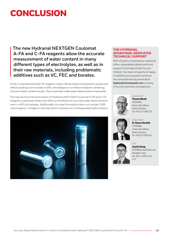## **CONCLUSION**

**The new Hydranal NEXTGEN Coulomat A-FA and C-FA reagents allow the accurate measurement of water content in many different types of electrolytes, as well as in their raw materials, including problematic additives such as VC, FEC and borates.** 

So far, in standard alcoholic KF reagents, many LiB electrolyte components caused side effects leading to an increase in drift, and delayed or no titration endpoint, rendering incorrect water content results. That could even make water determination impossible.

The new alcohol-free formulation of Hydranal NEXTGEN Coulomat A-FA and C-FA reagents suppresses these side effects and allows for accurate water determination, even in difficult samples. Additionally, the new formulation does not contain CMR (carcinogenic, mutagenic and reprotoxic) substances or halogenated hydrocarbons.



#### **THE HYDRANAL ADVANTAGE: DEDICATED TECHNICAL SUPPORT**

With 40 years of experience, Hydranal offers unparalleled global technical support in the field of Karl Fischer titration. Our team of experts is happy to address your questions and can be contacted directly via email at **hydranal@honeywell.com** or at any of our live seminars and webinars.



*Global Market* **Thomas Wendt** HYDRANAL Center of Excellence Seelze, Germany Tel: +49 5137 999 353





*APAC*



**Charlie Zhang** HYDRANAL Application Lab Shanghai, China Tel: +86 21 2894 4715 *APAC*